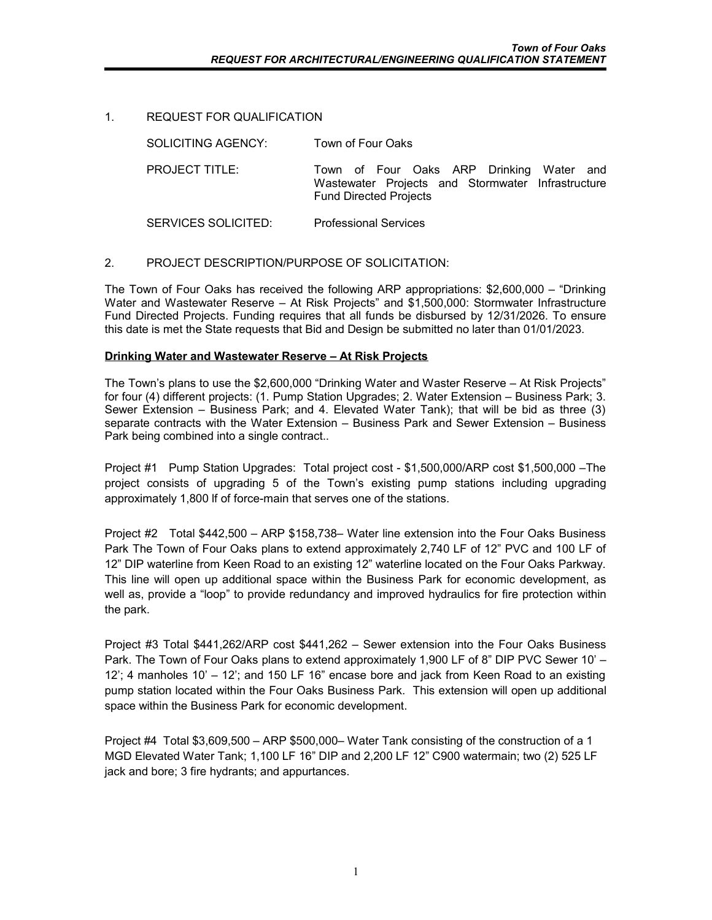## 1. REQUEST FOR QUALIFICATION

| SOLICITING AGENCY:    | Town of Four Oaks                                                                                                              |
|-----------------------|--------------------------------------------------------------------------------------------------------------------------------|
| <b>PROJECT TITLE:</b> | Town of Four Oaks ARP Drinking Water and<br>Wastewater Projects and Stormwater Infrastructure<br><b>Fund Directed Projects</b> |
| SERVICES SOLICITED:   | <b>Professional Services</b>                                                                                                   |

## 2. PROJECT DESCRIPTION/PURPOSE OF SOLICITATION:

The Town of Four Oaks has received the following ARP appropriations: \$2,600,000 – "Drinking Water and Wastewater Reserve – At Risk Projects" and \$1,500,000: Stormwater Infrastructure Fund Directed Projects. Funding requires that all funds be disbursed by 12/31/2026. To ensure this date is met the State requests that Bid and Design be submitted no later than 01/01/2023.

### **Drinking Water and Wastewater Reserve – At Risk Projects**

The Town's plans to use the \$2,600,000 "Drinking Water and Waster Reserve – At Risk Projects" for four (4) different projects: (1. Pump Station Upgrades; 2. Water Extension – Business Park; 3. Sewer Extension – Business Park; and 4. Elevated Water Tank); that will be bid as three (3) separate contracts with the Water Extension – Business Park and Sewer Extension – Business Park being combined into a single contract..

Project #1 Pump Station Upgrades: Total project cost - \$1,500,000/ARP cost \$1,500,000 –The project consists of upgrading 5 of the Town's existing pump stations including upgrading approximately 1,800 lf of force-main that serves one of the stations.

Project #2 Total \$442,500 – ARP \$158,738– Water line extension into the Four Oaks Business Park The Town of Four Oaks plans to extend approximately 2,740 LF of 12" PVC and 100 LF of 12" DIP waterline from Keen Road to an existing 12" waterline located on the Four Oaks Parkway. This line will open up additional space within the Business Park for economic development, as well as, provide a "loop" to provide redundancy and improved hydraulics for fire protection within the park.

Project #3 Total \$441,262/ARP cost \$441,262 – Sewer extension into the Four Oaks Business Park. The Town of Four Oaks plans to extend approximately 1,900 LF of 8" DIP PVC Sewer 10' – 12'; 4 manholes 10' – 12'; and 150 LF 16" encase bore and jack from Keen Road to an existing pump station located within the Four Oaks Business Park. This extension will open up additional space within the Business Park for economic development.

Project #4 Total \$3,609,500 – ARP \$500,000– Water Tank consisting of the construction of a 1 MGD Elevated Water Tank; 1,100 LF 16" DIP and 2,200 LF 12" C900 watermain; two (2) 525 LF jack and bore; 3 fire hydrants; and appurtances.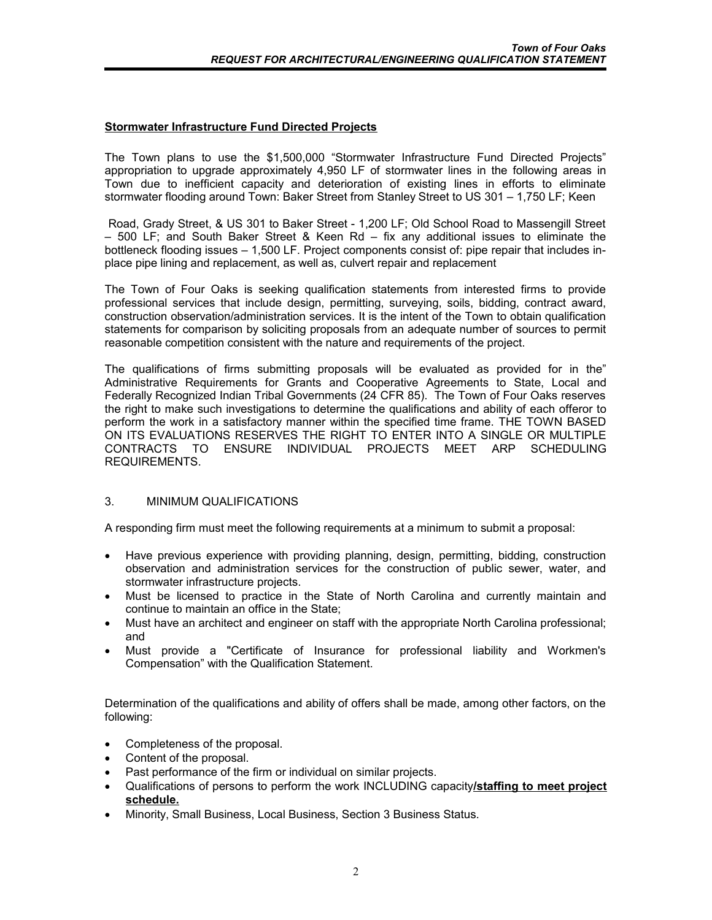## **Stormwater Infrastructure Fund Directed Projects**

The Town plans to use the \$1,500,000 "Stormwater Infrastructure Fund Directed Projects" appropriation to upgrade approximately 4,950 LF of stormwater lines in the following areas in Town due to inefficient capacity and deterioration of existing lines in efforts to eliminate stormwater flooding around Town: Baker Street from Stanley Street to US 301 – 1,750 LF; Keen

Road, Grady Street, & US 301 to Baker Street - 1,200 LF; Old School Road to Massengill Street – 500 LF; and South Baker Street & Keen Rd – fix any additional issues to eliminate the bottleneck flooding issues – 1,500 LF. Project components consist of: pipe repair that includes inplace pipe lining and replacement, as well as, culvert repair and replacement

The Town of Four Oaks is seeking qualification statements from interested firms to provide professional services that include design, permitting, surveying, soils, bidding, contract award, construction observation/administration services. It is the intent of the Town to obtain qualification statements for comparison by soliciting proposals from an adequate number of sources to permit reasonable competition consistent with the nature and requirements of the project.

The qualifications of firms submitting proposals will be evaluated as provided for in the" Administrative Requirements for Grants and Cooperative Agreements to State, Local and Federally Recognized Indian Tribal Governments (24 CFR 85). The Town of Four Oaks reserves the right to make such investigations to determine the qualifications and ability of each offeror to perform the work in a satisfactory manner within the specified time frame. THE TOWN BASED ON ITS EVALUATIONS RESERVES THE RIGHT TO ENTER INTO A SINGLE OR MULTIPLE CONTRACTS TO ENSURE INDIVIDUAL PROJECTS MEET ARP SCHEDULING REQUIREMENTS.

# 3. MINIMUM QUALIFICATIONS

A responding firm must meet the following requirements at a minimum to submit a proposal:

- Have previous experience with providing planning, design, permitting, bidding, construction observation and administration services for the construction of public sewer, water, and stormwater infrastructure projects.
- Must be licensed to practice in the State of North Carolina and currently maintain and continue to maintain an office in the State;
- Must have an architect and engineer on staff with the appropriate North Carolina professional; and
- Must provide a "Certificate of Insurance for professional liability and Workmen's Compensation" with the Qualification Statement.

Determination of the qualifications and ability of offers shall be made, among other factors, on the following:

- Completeness of the proposal.
- Content of the proposal.
- Past performance of the firm or individual on similar projects.
- Qualifications of persons to perform the work INCLUDING capacity**/staffing to meet project schedule.**
- Minority, Small Business, Local Business, Section 3 Business Status.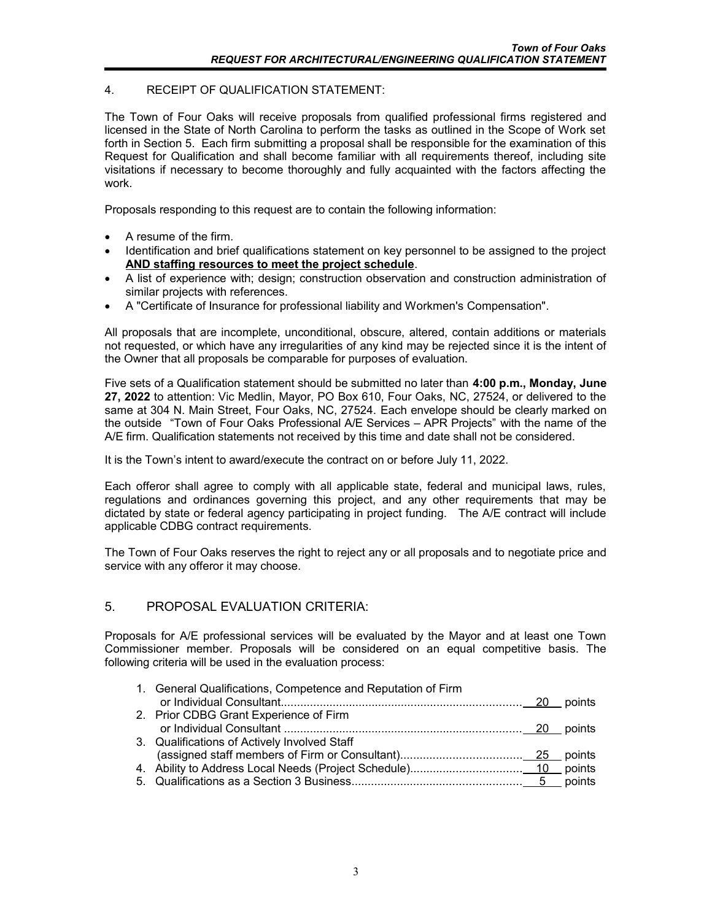# 4. RECEIPT OF QUALIFICATION STATEMENT:

The Town of Four Oaks will receive proposals from qualified professional firms registered and licensed in the State of North Carolina to perform the tasks as outlined in the Scope of Work set forth in Section 5. Each firm submitting a proposal shall be responsible for the examination of this Request for Qualification and shall become familiar with all requirements thereof, including site visitations if necessary to become thoroughly and fully acquainted with the factors affecting the work.

Proposals responding to this request are to contain the following information:

- A resume of the firm.
- Identification and brief qualifications statement on key personnel to be assigned to the project **AND staffing resources to meet the project schedule**.
- A list of experience with; design; construction observation and construction administration of similar projects with references.
- A "Certificate of Insurance for professional liability and Workmen's Compensation".

All proposals that are incomplete, unconditional, obscure, altered, contain additions or materials not requested, or which have any irregularities of any kind may be rejected since it is the intent of the Owner that all proposals be comparable for purposes of evaluation.

Five sets of a Qualification statement should be submitted no later than **4:00 p.m., Monday, June 27, 2022** to attention: Vic Medlin, Mayor, PO Box 610, Four Oaks, NC, 27524, or delivered to the same at 304 N. Main Street, Four Oaks, NC, 27524. Each envelope should be clearly marked on the outside "Town of Four Oaks Professional A/E Services – APR Projects" with the name of the A/E firm. Qualification statements not received by this time and date shall not be considered.

It is the Town's intent to award/execute the contract on or before July 11, 2022.

Each offeror shall agree to comply with all applicable state, federal and municipal laws, rules, regulations and ordinances governing this project, and any other requirements that may be dictated by state or federal agency participating in project funding. The A/E contract will include applicable CDBG contract requirements.

The Town of Four Oaks reserves the right to reject any or all proposals and to negotiate price and service with any offeror it may choose.

# 5. PROPOSAL EVALUATION CRITERIA:

Proposals for A/E professional services will be evaluated by the Mayor and at least one Town Commissioner member. Proposals will be considered on an equal competitive basis. The following criteria will be used in the evaluation process:

| 1. General Qualifications, Competence and Reputation of Firm |  |
|--------------------------------------------------------------|--|
| 2. Prior CDBG Grant Experience of Firm                       |  |
|                                                              |  |
| 3. Qualifications of Actively Involved Staff                 |  |
|                                                              |  |
|                                                              |  |
|                                                              |  |